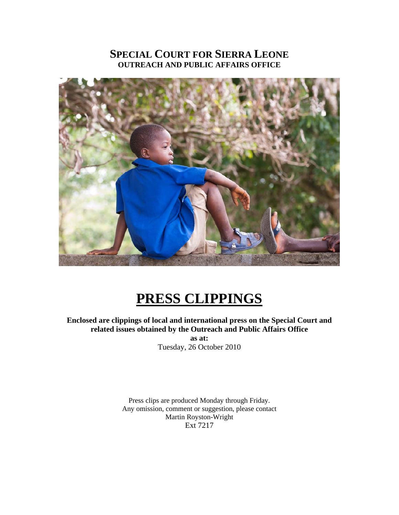## **SPECIAL COURT FOR SIERRA LEONE OUTREACH AND PUBLIC AFFAIRS OFFICE**



# **PRESS CLIPPINGS**

**Enclosed are clippings of local and international press on the Special Court and related issues obtained by the Outreach and Public Affairs Office** 

**as at:**  Tuesday, 26 October 2010

Press clips are produced Monday through Friday. Any omission, comment or suggestion, please contact Martin Royston-Wright Ext 7217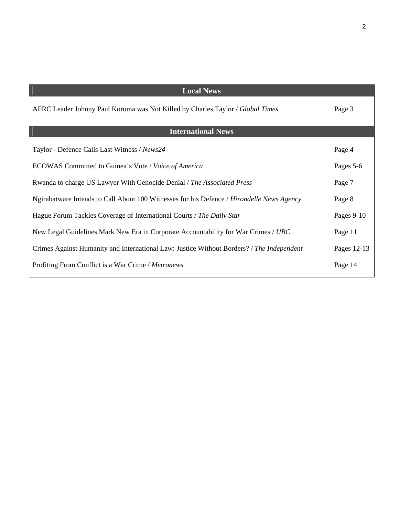| <b>Local News</b>                                                                         |             |
|-------------------------------------------------------------------------------------------|-------------|
| AFRC Leader Johnny Paul Koroma was Not Killed by Charles Taylor / Global Times            | Page 3      |
| <b>International News</b>                                                                 |             |
| Taylor - Defence Calls Last Witness / News24                                              | Page 4      |
| ECOWAS Committed to Guinea's Vote / Voice of America                                      | Pages 5-6   |
| Rwanda to charge US Lawyer With Genocide Denial / The Associated Press                    | Page 7      |
| Ngirabatware Intends to Call About 100 Witnesses for his Defence / Hirondelle News Agency | Page 8      |
| Hague Forum Tackles Coverage of International Courts / The Daily Star                     | Pages 9-10  |
| New Legal Guidelines Mark New Era in Corporate Accountability for War Crimes / UBC        | Page 11     |
| Crimes Against Humanity and International Law: Justice Without Borders? / The Independent | Pages 12-13 |
| Profiting From Conflict is a War Crime / Metronews                                        | Page 14     |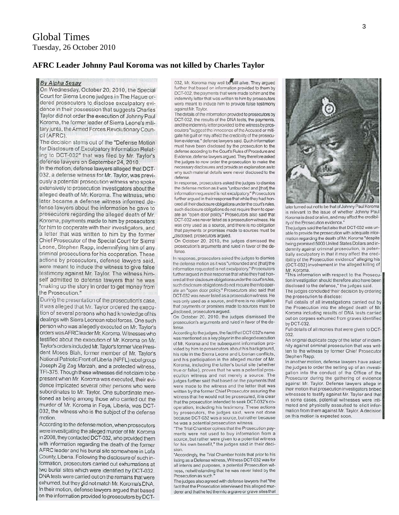#### **AFRC Leader Johnny Paul Koroma was not killed by Charles Taylor**

#### **By Alpha Sesay**

On Wednesday, October 20, 2010, the Special Court for Sierra Leone judges in The Hague ordered prosecutors to disclose exculpatory evidence in their possession that suggests Charles Taylor did not order the execution of Johnny Paul Koroma, the former leader of Sierra Leone's military junta, the Armed Forces Revolutionary Council (AFRC).

The decision stems out of the "Defense Motion for Disclosure of Exculpatory Information Relating to DCT-032" that was filed by Mr. Taylor's defense lawyers on September 24, 2010.

In the motion, defense lawyers alleged that DCT-032, a defense witness for Mr. Taylor, was previously a potential prosecution witness who spoke extensively to prosecution investigators about the alleged death of Mr. Koroma. The witness, who later became a defense witness informed defense lawyers about the information he gave to prosecutors regarding the alleged death of Mr. Koroma, payments made to him by prosecutors for him to cooperate with their investigators, and a letter that was written to him by the former Chief Prosecutor of the Special Court for Sierra Leone, Stephen Rapp, indemnifying him of any criminal prosecutions for his cooperation. These actions by prosecutors, defense lawyers said, were meant to induce the witness to give false testimony against Mr. Taylor. The witness himself admitted to defense lawyers that he was "making up the story in order to get money from the Prosecution."

During the presentation of the prosecution's case, it was alleged that Mr. Taylor ordered the execution of several persons who had knowledge of his dealings with Sierra Leonean rebel forces. One such person who was allegedly executed on Mr. Taylor's orders was AFRC leader Mr. Koroma. Witnesses who testified about the execution of Mr. Koroma on Mr. Taylor's orders included Mr. Taylor's former Vice President Moses Blah, former member of Mr. Taylor's National Patriotic Front of Liberia (NPFL) rebel group Joseph Zig Zag Marzah, and a protected witness. TFI-375. Though these witnesses did not claim to be present when Mr. Koroma was executed, their evidence implicated several other persons who were subordinates to Mr. Taylor. One subordinate mentioned as being among those who carried out the murder of Mr. Koroma in Foya, Liberia, was DCT-032, the witness who is the subject of the defense motion

According to the defense motion, when prosecutors were investigating the alleged murder of Mr. Koroma in 2008, they contacted DCT-032, who provided them with information regarding the death of the former AFRC leader and his burial site somewhere in Lofa County, Liberia. Following the disclosure of such information, prosecutors carried out exhumations at two burial sites which were identified by DCT-032. DNA tests were carried out on the remains that were exhumed, but they gid not match Mr. Koroma's DNA. In their motion, defense lawyers argued that based on the information provided to prosecutors by DCT-

032, Mr. Koroma may well be still alive. They argued further that based on information provided to them by DCT-032, the payments that were made to him and the indemnity letter that was written to him by prosecutors were meant to induce him to provide false testimony against Mr. Taylor.

The details of the information provided to prosecutors by DCT-032, the results of the DNA tests, the payments, and the indemnity letter provided to the witness by prosecutors "suggest the innocence of the Accused or mitigate his guilt or may affect the credibility of the prosecution evidence," defense lawyers said. Such information must have been disclosed by the prosecution to the defense according to the Court's Rules of Procedure and Evidence, defense lawyers argued. They therefore asked the judges to now order the prosecution to make the necessary disclosures and provide an explanation as to why such material details were never disclosed to the defense.

In response, prosecutors asked the judges to dismiss the defense motion as it was "unfounded and [that] the information requested is not exculpatory." Prosecutors further argued in their response that while they had honored all their disclosure obligations under the court's rules, such disclosure obligations do not require them to operate an "open door policy." Prosecutors also said that DCT-032 was never listed as a prosecution witness. He was only used as a source, and there is no obligation that payments or promises made to sources must be disclosed, prosecutors arqued.

On October 20, 2010, the judges dismissed the prosecution's arguments and ruled in favor of the defense.

In response, prosecutors asked the judges to dismiss the defense motion as it was "unfounded and [that] the information requested is not exculpatory." Prosecutors further arqued in their response that while they had honored all their disclosure obligations under the court's rules, such disclosure obligations do not require them to operate an "open door policy." Prosecutors also said that DCT-032 was never listed as a prosecution witness. He was only used as a source, and there is no obligation that payments or promises made to sources must be disclosed, prosecutors argued.

On October 20, 2010, the judges dismissed the prosecution's arguments and ruled in favor of the defense

According to the judges, the fact that DCT-032's name was mentioned as a key player in the alleged execution of Mr. Koroma and the subsequent information provided by him to prosecutors about his background, his role in the Sierra Leone and Liberian conflicts, and his participation in the alleged murder of Mr. Koroma, including the latter's burial site (whether true or false), proves that he was a potential prosecution witness and not merely a source. The judges further said that based on the payments that were made to the witness and the letter that was written by the former Chief Prosecutor assuring the witness that he would not be prosecuted, it is clear that the prosecution intended to seek DCT-032's cooperation, including his testimony. These actions by prosecutors, the judges said, were not done because DCT-032 was a source, but rather because he was a potential prosecution witness.

"The Trial Chamber opines that the Prosecution payments were not used to buy information from a source, but rather were given to a potential witness for his own benefit," the judges said in their decision.

"Accordingly, the Trial Chamber holds that prior to his listing as a Defense witness, Witness DCT-032 was for all intents and purposes, a potential Prosecution witness, notwithstanding that he was never listed by the Prosecution as such."

The judges also agreed with defense lawyers that "the fact that the Prosecution interviewed this alleged murderer and that he led them to a grave or grave sites that



later turned out not to be that of Johnny Paul Koroma is relevant to the issue of whether Johnny Paul Koroma is dead or alive, and may affect the credibility of the Prosecution evidence."

The judges said the fact also that DCT-032 was unable to provide the prosecution with adequate information regarding the death of Mr. Koroma "despite being promised 5000 United States Dollars and indemnity against criminal prosecution, is potentially exculpatory in that it may affect the credibility of the Prosecution evidence" alleging his (DCT-032) involvement in the alleged killing of Mr. Koroma.

"This information with respect to the Prosecution investigation should therefore also have been disclosed to the defense," the judges said.

The judges concluded their decision by ordering the prosecution to disclose:

Full details of all investigations carried out by the Prosecution into the alleged death of Mr. Koroma including results of DNA tests carried out on corpses exhumed from graves identified by DCT-032

Full details of all monies that were given to DCT-032

An original duplicate copy of the letter of indemnity against criminal prosecution that was written to the witness by former Chief Prosecutor Stephen Rapp.

In another motion, defense lawyers have asked the judges to order the setting up of an investigation into the conduct of the Office of the Prosecutor during the gathering of evidence against Mr. Taylor. Defense lawyers allege in their motion that prosecution investigators bribed witnesses to testify against Mr. Taylor and that in some cases, potential witnesses were intimated and physically assaulted to elicit information from them against Mr. Taylor. A decision on this motion is expected soon.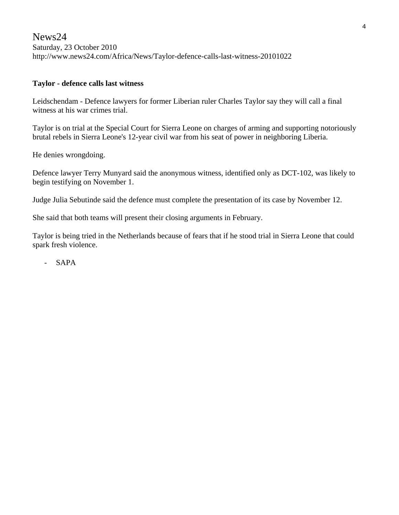News24 Saturday, 23 October 2010 http://www.news24.com/Africa/News/Taylor-defence-calls-last-witness-20101022

#### **Taylor - defence calls last witness**

Leidschendam - Defence lawyers for former Liberian ruler Charles Taylor say they will call a final witness at his war crimes trial.

Taylor is on trial at the Special Court for Sierra Leone on charges of arming and supporting notoriously brutal rebels in Sierra Leone's 12-year civil war from his seat of power in neighboring Liberia.

He denies wrongdoing.

Defence lawyer Terry Munyard said the anonymous witness, identified only as DCT-102, was likely to begin testifying on November 1.

Judge Julia Sebutinde said the defence must complete the presentation of its case by November 12.

She said that both teams will present their closing arguments in February.

Taylor is being tried in the Netherlands because of fears that if he stood trial in Sierra Leone that could spark fresh violence.

- SAPA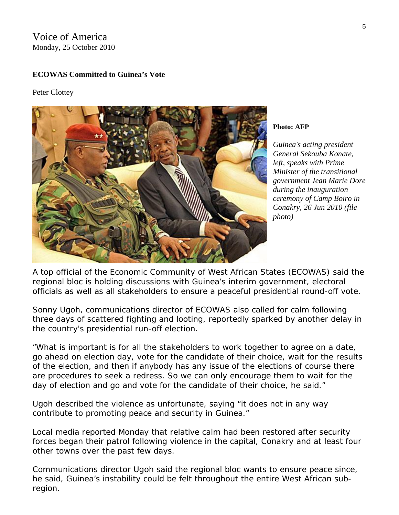Voice of America Monday, 25 October 2010

#### **ECOWAS Committed to Guinea's Vote**

Peter Clottey



**Photo: AFP** 

*Guinea's acting president General Sekouba Konate, left, speaks with Prime Minister of the transitional government Jean Marie D ore*  during the *inauguration ceremony of Camp Boiro in Conakry, 26 Jun 2010 (file photo)* 

A top official of the Economic Community of West African States (ECOWAS) said the regional bloc is holding discussions with Guinea's interim government, electoral officials as well as all stakeholders to ensure a peaceful presidential round-off vote.

Sonny Ugoh, communications director of ECOWAS also called for calm following three days of scattered fighting and looting, reportedly sparked by another delay in the country's presidential run-off election.

"What is important is for all the stakeholders to work together to agree on a date, go ahead on election day, vote for the candidate of their choice, wait for the results of the election, and then if anybody has any issue of the elections of course there are procedures to seek a redress. So we can only encourage them to wait for the day of election and go and vote for the candidate of their choice, he said."

Ugoh described the violence as unfortunate, saying "it does not in any way contribute to promoting peace and security in Guinea."

Local media reported Monday that relative calm had been restored after security forces began their patrol following violence in the capital, Conakry and at least four other towns over the past few days.

Communications director Ugoh said the regional bloc wants to ensure peace since, he said, Guinea's instability could be felt throughout the entire West African subregion.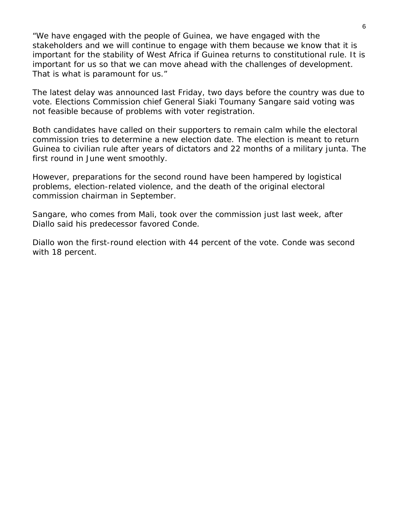"We have engaged with the people of Guinea, we have engaged with the stakeholders and we will continue to engage with them because we know that it is important for the stability of West Africa if Guinea returns to constitutional rule. It is important for us so that we can move ahead with the challenges of development. That is what is paramount for us."

The latest delay was announced last Friday, two days before the country was due to vote. Elections Commission chief General Siaki Toumany Sangare said voting was not feasible because of problems with voter registration.

Both candidates have called on their supporters to remain calm while the electoral commission tries to determine a new election date. The election is meant to return Guinea to civilian rule after years of dictators and 22 months of a military junta. The first round in June went smoothly.

However, preparations for the second round have been hampered by logistical problems, election-related violence, and the death of the original electoral commission chairman in September.

Sangare, who comes from Mali, took over the commission just last week, after Diallo said his predecessor favored Conde.

Diallo won the first-round election with 44 percent of the vote. Conde was second with 18 percent.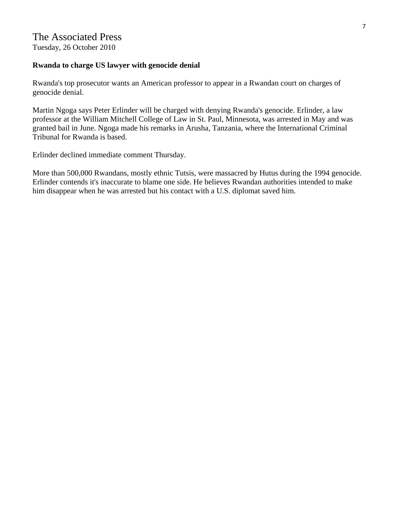Tuesday, 26 October 2010

#### **Rwanda to charge US lawyer with genocide denial**

Rwanda's top prosecutor wants an American professor to appear in a Rwandan court on charges of genocide denial.

Martin Ngoga says Peter Erlinder will be charged with denying Rwanda's genocide. Erlinder, a law professor at the William Mitchell College of Law in St. Paul, Minnesota, was arrested in May and was granted bail in June. Ngoga made his remarks in Arusha, Tanzania, where the International Criminal Tribunal for Rwanda is based.

Erlinder declined immediate comment Thursday.

More than 500,000 Rwandans, mostly ethnic Tutsis, were massacred by Hutus during the 1994 genocide. Erlinder contends it's inaccurate to blame one side. He believes Rwandan authorities intended to make him disappear when he was arrested but his contact with a U.S. diplomat saved him.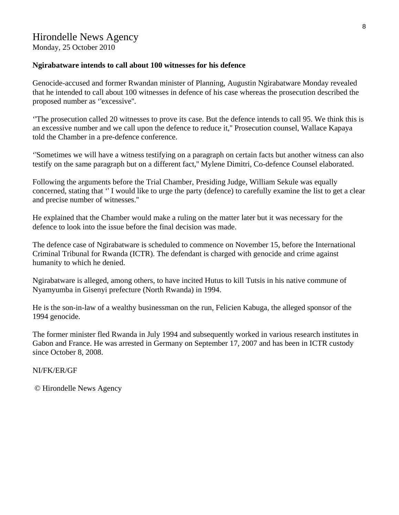Monday, 25 October 2010

#### **Ngirabatware intends to call about 100 witnesses for his defence**

Genocide-accused and former Rwandan minister of Planning, Augustin Ngirabatware Monday revealed that he intended to call about 100 witnesses in defence of his case whereas the prosecution described the proposed number as ''excessive''.

''The prosecution called 20 witnesses to prove its case. But the defence intends to call 95. We think this is an excessive number and we call upon the defence to reduce it,'' Prosecution counsel, Wallace Kapaya told the Chamber in a pre-defence conference.

''Sometimes we will have a witness testifying on a paragraph on certain facts but another witness can also testify on the same paragraph but on a different fact,'' Mylene Dimitri, Co-defence Counsel elaborated.

Following the arguments before the Trial Chamber, Presiding Judge, William Sekule was equally concerned, stating that '' I would like to urge the party (defence) to carefully examine the list to get a clear and precise number of witnesses.''

He explained that the Chamber would make a ruling on the matter later but it was necessary for the defence to look into the issue before the final decision was made.

The defence case of Ngirabatware is scheduled to commence on November 15, before the International Criminal Tribunal for Rwanda (ICTR). The defendant is charged with genocide and crime against humanity to which he denied.

Ngirabatware is alleged, among others, to have incited Hutus to kill Tutsis in his native commune of Nyamyumba in Gisenyi prefecture (North Rwanda) in 1994.

He is the son-in-law of a wealthy businessman on the run, Felicien Kabuga, the alleged sponsor of the 1994 genocide.

The former minister fled Rwanda in July 1994 and subsequently worked in various research institutes in Gabon and France. He was arrested in Germany on September 17, 2007 and has been in ICTR custody since October 8, 2008.

NI/FK/ER/GF

© Hirondelle News Agency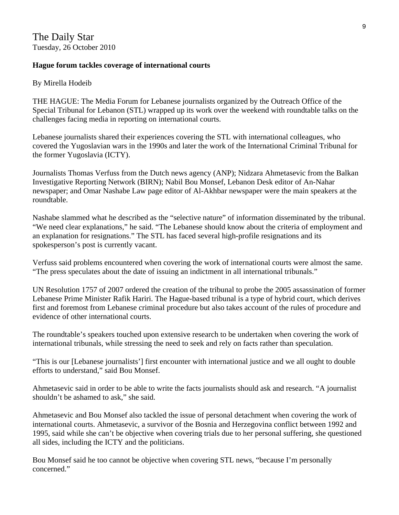#### **Hague forum tackles coverage of international courts**

By Mirella Hodeib

THE HAGUE: The Media Forum for Lebanese journalists organized by the Outreach Office of the Special Tribunal for Lebanon (STL) wrapped up its work over the weekend with roundtable talks on the challenges facing media in reporting on international courts.

Lebanese journalists shared their experiences covering the STL with international colleagues, who covered the Yugoslavian wars in the 1990s and later the work of the International Criminal Tribunal for the former Yugoslavia (ICTY).

Journalists Thomas Verfuss from the Dutch news agency (ANP); Nidzara Ahmetasevic from the Balkan Investigative Reporting Network (BIRN); Nabil Bou Monsef, Lebanon Desk editor of An-Nahar newspaper; and Omar Nashabe Law page editor of Al-Akhbar newspaper were the main speakers at the roundtable.

Nashabe slammed what he described as the "selective nature" of information disseminated by the tribunal. "We need clear explanations," he said. "The Lebanese should know about the criteria of employment and an explanation for resignations." The STL has faced several high-profile resignations and its spokesperson's post is currently vacant.

Verfuss said problems encountered when covering the work of international courts were almost the same. "The press speculates about the date of issuing an indictment in all international tribunals."

UN Resolution 1757 of 2007 ordered the creation of the tribunal to probe the 2005 assassination of former Lebanese Prime Minister Rafik Hariri. The Hague-based tribunal is a type of hybrid court, which derives first and foremost from Lebanese criminal procedure but also takes account of the rules of procedure and evidence of other international courts.

The roundtable's speakers touched upon extensive research to be undertaken when covering the work of international tribunals, while stressing the need to seek and rely on facts rather than speculation.

"This is our [Lebanese journalists'] first encounter with international justice and we all ought to double efforts to understand," said Bou Monsef.

Ahmetasevic said in order to be able to write the facts journalists should ask and research. "A journalist shouldn't be ashamed to ask," she said.

Ahmetasevic and Bou Monsef also tackled the issue of personal detachment when covering the work of international courts. Ahmetasevic, a survivor of the Bosnia and Herzegovina conflict between 1992 and 1995, said while she can't be objective when covering trials due to her personal suffering, she questioned all sides, including the ICTY and the politicians.

Bou Monsef said he too cannot be objective when covering STL news, "because I'm personally concerned."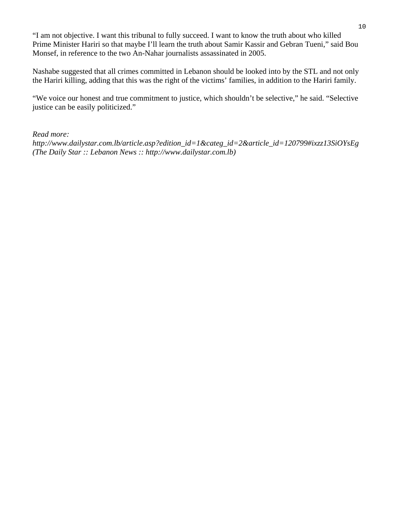"I am not objective. I want this tribunal to fully succeed. I want to know the truth about who killed Prime Minister Hariri so that maybe I'll learn the truth about Samir Kassir and Gebran Tueni," said Bou Monsef, in reference to the two An-Nahar journalists assassinated in 2005.

Nashabe suggested that all crimes committed in Lebanon should be looked into by the STL and not only the Hariri killing, adding that this was the right of the victims' families, in addition to the Hariri family.

"We voice our honest and true commitment to justice, which shouldn't be selective," he said. "Selective justice can be easily politicized."

#### *Read more:*

*http://www.dailystar.com.lb/article.asp?edition\_id=1&categ\_id=2&article\_id=120799#ixzz13SiOYsEg (The Daily Star :: Lebanon News :: http://www.dailystar.com.lb)*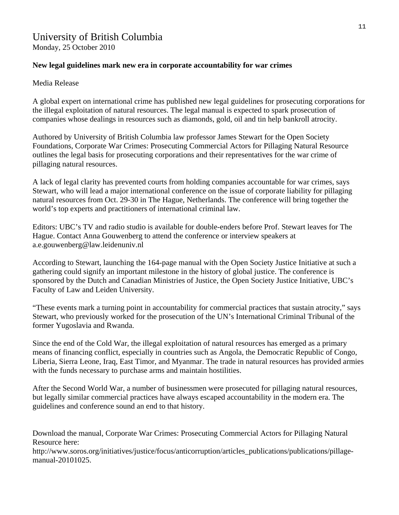# University of British Columbia

Monday, 25 October 2010

#### **New legal guidelines mark new era in corporate accountability for war crimes**

Media Release

A global expert on international crime has published new legal guidelines for prosecuting corporations for the illegal exploitation of natural resources. The legal manual is expected to spark prosecution of companies whose dealings in resources such as diamonds, gold, oil and tin help bankroll atrocity.

Authored by University of British Columbia law professor James Stewart for the Open Society Foundations, Corporate War Crimes: Prosecuting Commercial Actors for Pillaging Natural Resource outlines the legal basis for prosecuting corporations and their representatives for the war crime of pillaging natural resources.

A lack of legal clarity has prevented courts from holding companies accountable for war crimes, says Stewart, who will lead a major international conference on the issue of corporate liability for pillaging natural resources from Oct. 29-30 in The Hague, Netherlands. The conference will bring together the world's top experts and practitioners of international criminal law.

Editors: UBC's TV and radio studio is available for double-enders before Prof. Stewart leaves for The Hague. Contact Anna Gouwenberg to attend the conference or interview speakers at a.e.gouwenberg@law.leidenuniv.nl

According to Stewart, launching the 164-page manual with the Open Society Justice Initiative at such a gathering could signify an important milestone in the history of global justice. The conference is sponsored by the Dutch and Canadian Ministries of Justice, the Open Society Justice Initiative, UBC's Faculty of Law and Leiden University.

"These events mark a turning point in accountability for commercial practices that sustain atrocity," says Stewart, who previously worked for the prosecution of the UN's International Criminal Tribunal of the former Yugoslavia and Rwanda.

Since the end of the Cold War, the illegal exploitation of natural resources has emerged as a primary means of financing conflict, especially in countries such as Angola, the Democratic Republic of Congo, Liberia, Sierra Leone, Iraq, East Timor, and Myanmar. The trade in natural resources has provided armies with the funds necessary to purchase arms and maintain hostilities.

After the Second World War, a number of businessmen were prosecuted for pillaging natural resources, but legally similar commercial practices have always escaped accountability in the modern era. The guidelines and conference sound an end to that history.

Download the manual, Corporate War Crimes: Prosecuting Commercial Actors for Pillaging Natural Resource here:

http://www.soros.org/initiatives/justice/focus/anticorruption/articles\_publications/publications/pillagemanual-20101025.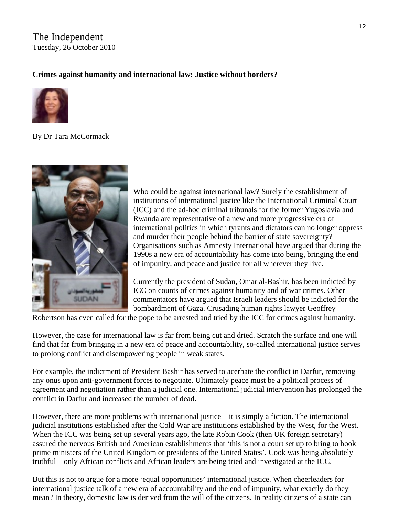## The Independent Tuesday, 26 October 2010

#### **Crimes against humanity and international law: Justice without borders?**



By [Dr Tara McCormack](http://blogs.independent.co.uk/author/dr-tara-mccormack/) 



Who could be against international law? Surely the establishment of institutions of international justice like the International Criminal Court (ICC) and the ad-hoc criminal tribunals for the former Yugoslavia and Rwanda are representative of a new and more progressive era of international politics in which tyrants and dictators can no longer oppress and murder their people behind the barrier of state sovereignty? Organisations such as Amnesty International have argued that during the 1990s a new era of accountability has come into being, bringing the end of impunity, and peace and justice for all wherever they live.

Currently the president of Sudan, Omar al-Bashir, has been indicted by ICC on counts of crimes against humanity and of war crimes. Other commentators have argued that Israeli leaders should be indicted for the bombardment of Gaza. Crusading human rights lawyer Geoffrey

Robertson has even called for the pope to be arrested and tried by the ICC for crimes against humanity.

However, the case for international law is far from being cut and dried. Scratch the surface and one will find that far from bringing in a new era of peace and accountability, so-called international justice serves to prolong conflict and disempowering people in weak states.

For example, the indictment of President Bashir has served to acerbate the conflict in Darfur, removing any onus upon anti-government forces to negotiate. Ultimately peace must be a political process of agreement and negotiation rather than a judicial one. International judicial intervention has prolonged the conflict in Darfur and increased the number of dead.

However, there are more problems with international justice – it is simply a fiction. The international judicial institutions established after the Cold War are institutions established by the West, for the West. When the ICC was being set up several years ago, the late Robin Cook (then UK foreign secretary) assured the nervous British and American establishments that 'this is not a court set up to bring to book prime ministers of the United Kingdom or presidents of the United States'. Cook was being absolutely truthful – only African conflicts and African leaders are being tried and investigated at the ICC.

But this is not to argue for a more 'equal opportunities' international justice. When cheerleaders for international justice talk of a new era of accountability and the end of impunity, what exactly do they mean? In theory, domestic law is derived from the will of the citizens. In reality citizens of a state can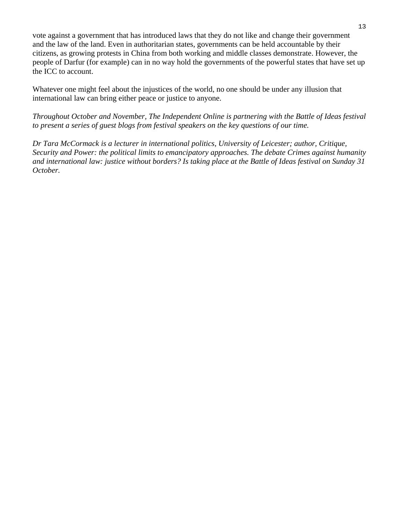vote against a government that has introduced laws that they do not like and change their government and the law of the land. Even in authoritarian states, governments can be held accountable by their citizens, as growing protests in China from both working and middle classes demonstrate. However, the people of Darfur (for example) can in no way hold the governments of the powerful states that have set up the ICC to account.

Whatever one might feel about the injustices of the world, no one should be under any illusion that international law can bring either peace or justice to anyone.

*Throughout October and November, The Independent Online is partnering with the [Battle of Ideas festival](http://www.battleofideas.org.uk/) to present a series of guest blogs from festival speakers on the key questions of our time.*

*Dr Tara McCormack is a lecturer in international politics, University of Leicester; author, Critique, Security and Power: the political limits to emancipatory approaches. The debate [Crimes against humanity](http://www.battleofideas.org.uk/index.php/2010/session_detail/4116/)  [and international law: justice without borders?](http://www.battleofideas.org.uk/index.php/2010/session_detail/4116/) Is taking place at the Battle of Ideas festival on Sunday 31 October.*